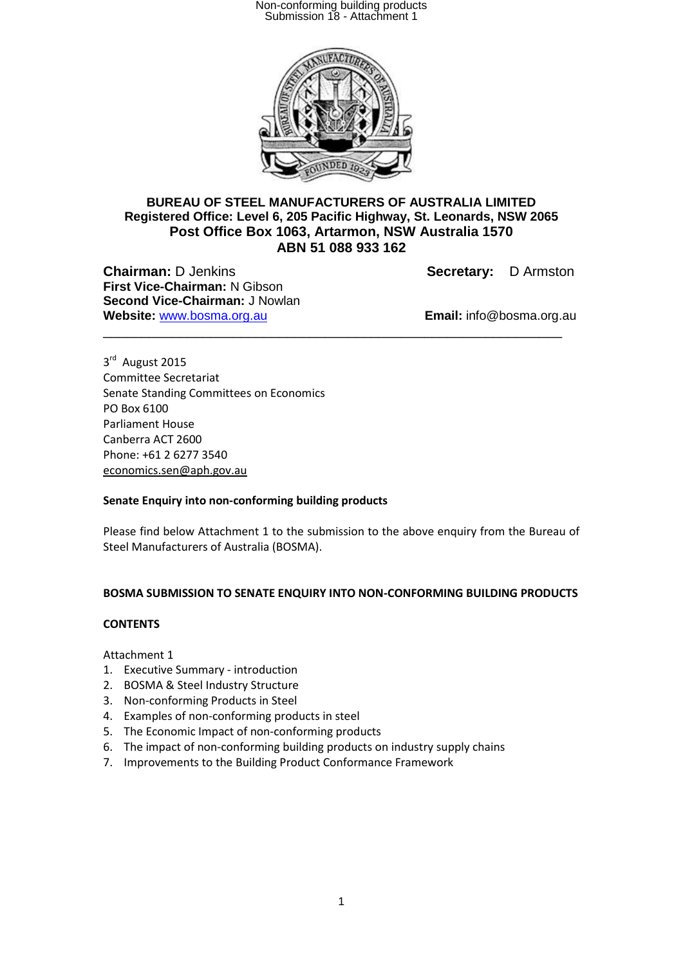

### **BUREAU OF STEEL MANUFACTURERS OF AUSTRALIA LIMITED Registered Office: Level 6, 205 Pacific Highway, St. Leonards, NSW 2065 Post Office Box 1063, Artarmon, NSW Australia 1570 ABN 51 088 933 162**

\_\_\_\_\_\_\_\_\_\_\_\_\_\_\_\_\_\_\_\_\_\_\_\_\_\_\_\_\_\_\_\_\_\_\_\_\_\_\_\_\_\_\_\_\_\_\_\_\_\_\_\_\_\_\_\_\_\_\_\_

**Chairman:** D Jenkins **Secretary:** D Armston **First Vice-Chairman:** N Gibson **Second Vice-Chairman:** J Nowlan **Website:** www.bosma.org.au **Email:** info@bosma.org.au

3rd August 2015 Committee Secretariat Senate Standing Committees on Economics PO Box 6100 Parliament House Canberra ACT 2600 Phone: +61 2 6277 3540 [economics.sen@aph.gov.au](mailto:economics.sen@aph.gov.au)

#### **Senate Enquiry into non-conforming building products**

Please find below Attachment 1 to the submission to the above enquiry from the Bureau of Steel Manufacturers of Australia (BOSMA).

#### **BOSMA SUBMISSION TO SENATE ENQUIRY INTO NON-CONFORMING BUILDING PRODUCTS**

#### **CONTENTS**

Attachment 1

- 1. Executive Summary introduction
- 2. BOSMA & Steel Industry Structure
- 3. Non-conforming Products in Steel
- 4. Examples of non-conforming products in steel
- 5. The Economic Impact of non-conforming products
- 6. The impact of non-conforming building products on industry supply chains
- 7. Improvements to the Building Product Conformance Framework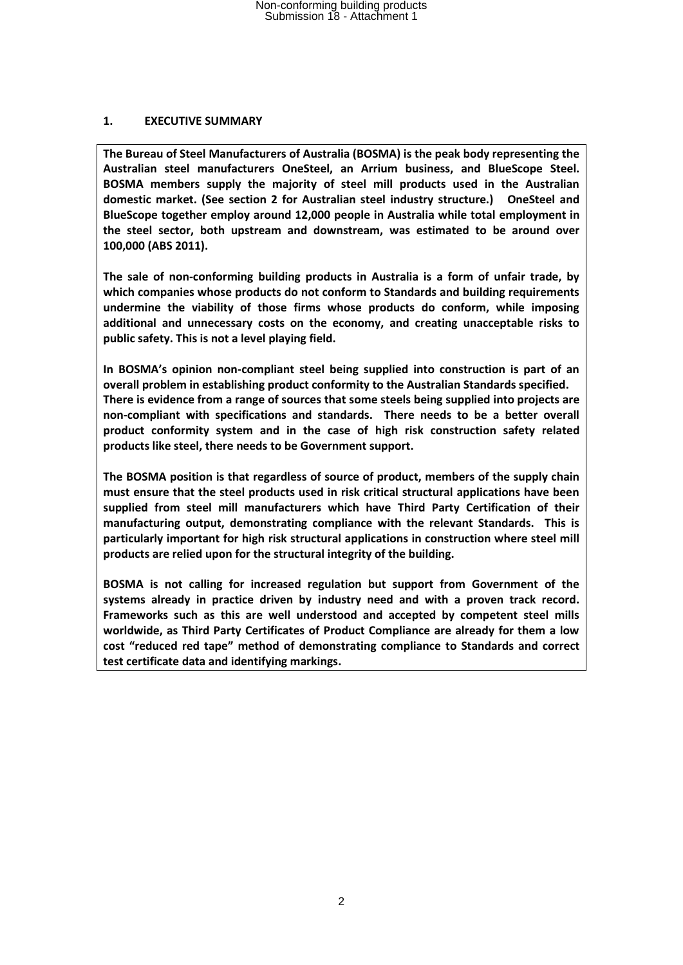### **1. EXECUTIVE SUMMARY**

**The Bureau of Steel Manufacturers of Australia (BOSMA) is the peak body representing the Australian steel manufacturers OneSteel, an Arrium business, and BlueScope Steel. BOSMA members supply the majority of steel mill products used in the Australian domestic market. (See section 2 for Australian steel industry structure.) OneSteel and BlueScope together employ around 12,000 people in Australia while total employment in the steel sector, both upstream and downstream, was estimated to be around over 100,000 (ABS 2011).** 

**The sale of non-conforming building products in Australia is a form of unfair trade, by which companies whose products do not conform to Standards and building requirements undermine the viability of those firms whose products do conform, while imposing additional and unnecessary costs on the economy, and creating unacceptable risks to public safety. This is not a level playing field.** 

**In BOSMA's opinion non-compliant steel being supplied into construction is part of an overall problem in establishing product conformity to the Australian Standards specified. There is evidence from a range of sources that some steels being supplied into projects are non-compliant with specifications and standards. There needs to be a better overall product conformity system and in the case of high risk construction safety related products like steel, there needs to be Government support.**

**The BOSMA position is that regardless of source of product, members of the supply chain must ensure that the steel products used in risk critical structural applications have been supplied from steel mill manufacturers which have Third Party Certification of their manufacturing output, demonstrating compliance with the relevant Standards. This is particularly important for high risk structural applications in construction where steel mill products are relied upon for the structural integrity of the building.**

**BOSMA is not calling for increased regulation but support from Government of the systems already in practice driven by industry need and with a proven track record. Frameworks such as this are well understood and accepted by competent steel mills worldwide, as Third Party Certificates of Product Compliance are already for them a low cost "reduced red tape" method of demonstrating compliance to Standards and correct test certificate data and identifying markings.**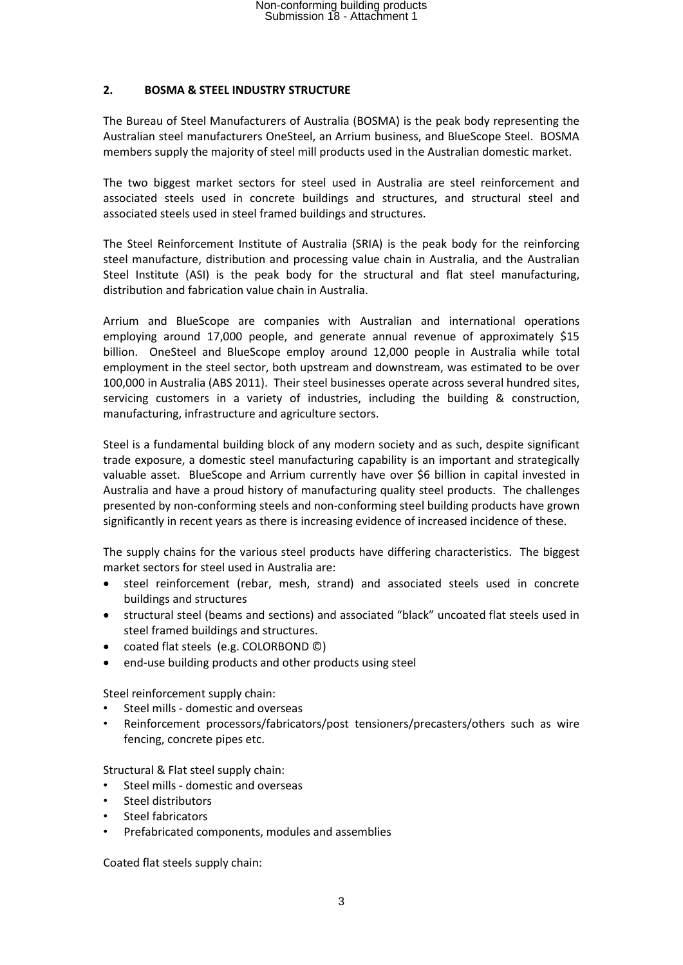### **2. BOSMA & STEEL INDUSTRY STRUCTURE**

The Bureau of Steel Manufacturers of Australia (BOSMA) is the peak body representing the Australian steel manufacturers OneSteel, an Arrium business, and BlueScope Steel. BOSMA members supply the majority of steel mill products used in the Australian domestic market.

The two biggest market sectors for steel used in Australia are steel reinforcement and associated steels used in concrete buildings and structures, and structural steel and associated steels used in steel framed buildings and structures.

The Steel Reinforcement Institute of Australia (SRIA) is the peak body for the reinforcing steel manufacture, distribution and processing value chain in Australia, and the Australian Steel Institute (ASI) is the peak body for the structural and flat steel manufacturing, distribution and fabrication value chain in Australia.

Arrium and BlueScope are companies with Australian and international operations employing around 17,000 people, and generate annual revenue of approximately \$15 billion. OneSteel and BlueScope employ around 12,000 people in Australia while total employment in the steel sector, both upstream and downstream, was estimated to be over 100,000 in Australia (ABS 2011). Their steel businesses operate across several hundred sites, servicing customers in a variety of industries, including the building & construction, manufacturing, infrastructure and agriculture sectors.

Steel is a fundamental building block of any modern society and as such, despite significant trade exposure, a domestic steel manufacturing capability is an important and strategically valuable asset. BlueScope and Arrium currently have over \$6 billion in capital invested in Australia and have a proud history of manufacturing quality steel products. The challenges presented by non-conforming steels and non-conforming steel building products have grown significantly in recent years as there is increasing evidence of increased incidence of these.

The supply chains for the various steel products have differing characteristics. The biggest market sectors for steel used in Australia are:

- steel reinforcement (rebar, mesh, strand) and associated steels used in concrete buildings and structures
- structural steel (beams and sections) and associated "black" uncoated flat steels used in steel framed buildings and structures.
- coated flat steels (e.g. COLORBOND ©)
- end-use building products and other products using steel

Steel reinforcement supply chain:

- Steel mills domestic and overseas
- Reinforcement processors/fabricators/post tensioners/precasters/others such as wire fencing, concrete pipes etc.

Structural & Flat steel supply chain:

- Steel mills domestic and overseas
- Steel distributors
- Steel fabricators
- Prefabricated components, modules and assemblies

Coated flat steels supply chain: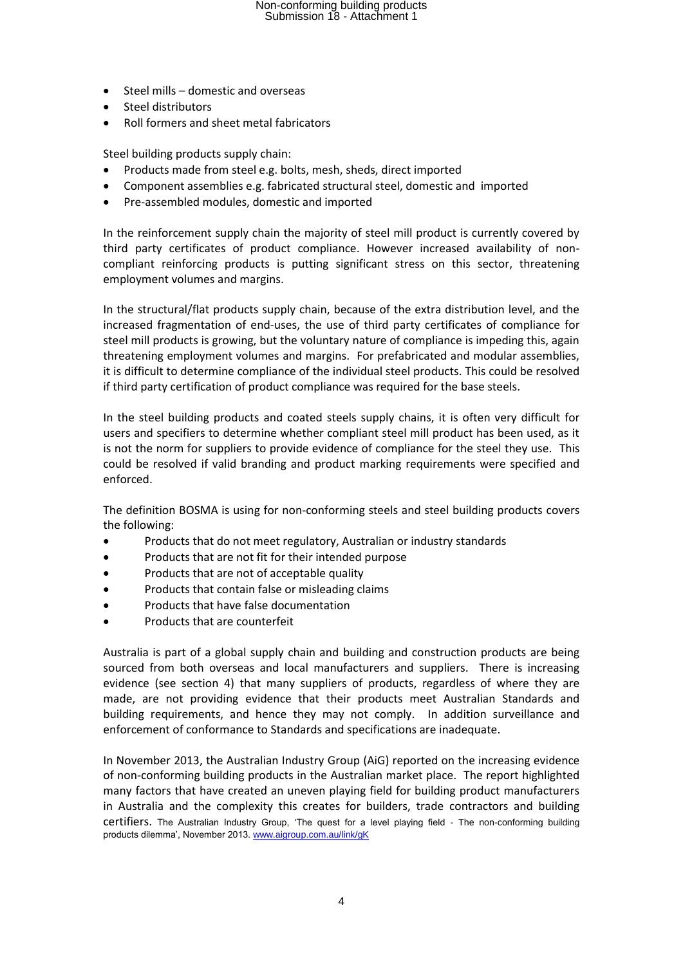- $\bullet$  Steel mills domestic and overseas
- Steel distributors
- Roll formers and sheet metal fabricators

Steel building products supply chain:

- Products made from steel e.g. bolts, mesh, sheds, direct imported
- Component assemblies e.g. fabricated structural steel, domestic and imported
- Pre-assembled modules, domestic and imported

In the reinforcement supply chain the majority of steel mill product is currently covered by third party certificates of product compliance. However increased availability of noncompliant reinforcing products is putting significant stress on this sector, threatening employment volumes and margins.

In the structural/flat products supply chain, because of the extra distribution level, and the increased fragmentation of end-uses, the use of third party certificates of compliance for steel mill products is growing, but the voluntary nature of compliance is impeding this, again threatening employment volumes and margins. For prefabricated and modular assemblies, it is difficult to determine compliance of the individual steel products. This could be resolved if third party certification of product compliance was required for the base steels.

In the steel building products and coated steels supply chains, it is often very difficult for users and specifiers to determine whether compliant steel mill product has been used, as it is not the norm for suppliers to provide evidence of compliance for the steel they use. This could be resolved if valid branding and product marking requirements were specified and enforced.

The definition BOSMA is using for non-conforming steels and steel building products covers the following:

- Products that do not meet regulatory, Australian or industry standards
- Products that are not fit for their intended purpose
- Products that are not of acceptable quality
- Products that contain false or misleading claims
- Products that have false documentation
- Products that are counterfeit

Australia is part of a global supply chain and building and construction products are being sourced from both overseas and local manufacturers and suppliers. There is increasing evidence (see section 4) that many suppliers of products, regardless of where they are made, are not providing evidence that their products meet Australian Standards and building requirements, and hence they may not comply. In addition surveillance and enforcement of conformance to Standards and specifications are inadequate.

In November 2013, the Australian Industry Group (AiG) reported on the increasing evidence of non-conforming building products in the Australian market place. The report highlighted many factors that have created an uneven playing field for building product manufacturers in Australia and the complexity this creates for builders, trade contractors and building certifiers. The Australian Industry Group, 'The quest for a level playing field - The non-conforming building products dilemma', November 2013[. www.aigroup.com.au/link/gK](http://www.aigroup.com.au/link/gK)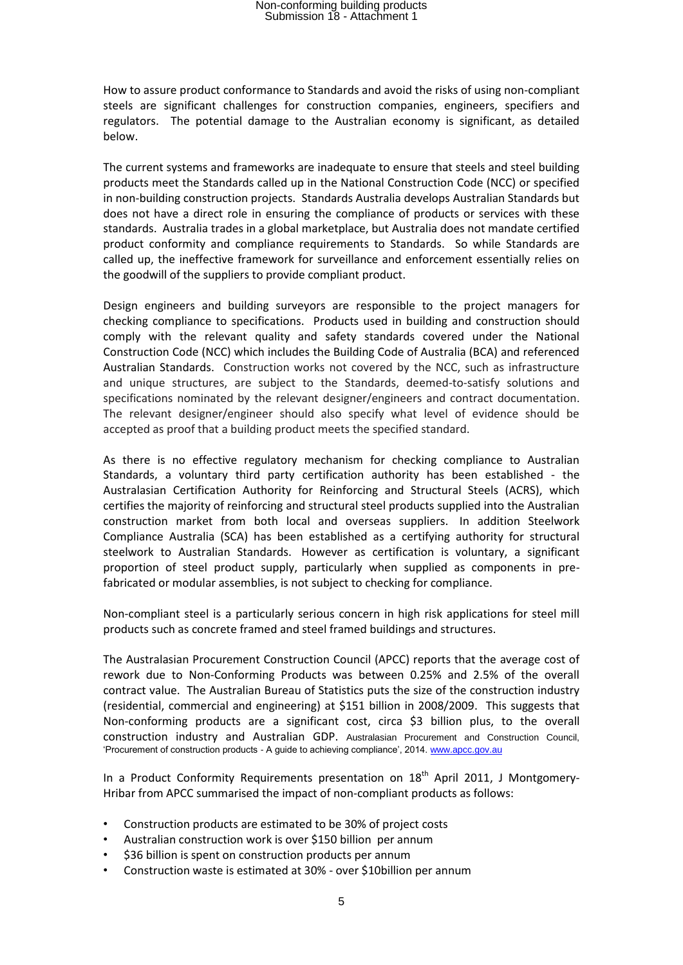How to assure product conformance to Standards and avoid the risks of using non-compliant steels are significant challenges for construction companies, engineers, specifiers and regulators. The potential damage to the Australian economy is significant, as detailed below.

The current systems and frameworks are inadequate to ensure that steels and steel building products meet the Standards called up in the National Construction Code (NCC) or specified in non-building construction projects. Standards Australia develops Australian Standards but does not have a direct role in ensuring the compliance of products or services with these standards. Australia trades in a global marketplace, but Australia does not mandate certified product conformity and compliance requirements to Standards. So while Standards are called up, the ineffective framework for surveillance and enforcement essentially relies on the goodwill of the suppliers to provide compliant product.

Design engineers and building surveyors are responsible to the project managers for checking compliance to specifications. Products used in building and construction should comply with the relevant quality and safety standards covered under the National Construction Code (NCC) which includes the Building Code of Australia (BCA) and referenced Australian Standards. Construction works not covered by the NCC, such as infrastructure and unique structures, are subject to the Standards, deemed-to-satisfy solutions and specifications nominated by the relevant designer/engineers and contract documentation. The relevant designer/engineer should also specify what level of evidence should be accepted as proof that a building product meets the specified standard.

As there is no effective regulatory mechanism for checking compliance to Australian Standards, a voluntary third party certification authority has been established - the Australasian Certification Authority for Reinforcing and Structural Steels (ACRS), which certifies the majority of reinforcing and structural steel products supplied into the Australian construction market from both local and overseas suppliers. In addition Steelwork Compliance Australia (SCA) has been established as a certifying authority for structural steelwork to Australian Standards. However as certification is voluntary, a significant proportion of steel product supply, particularly when supplied as components in prefabricated or modular assemblies, is not subject to checking for compliance.

Non-compliant steel is a particularly serious concern in high risk applications for steel mill products such as concrete framed and steel framed buildings and structures.

The Australasian Procurement Construction Council (APCC) reports that the average cost of rework due to Non-Conforming Products was between 0.25% and 2.5% of the overall contract value. The Australian Bureau of Statistics puts the size of the construction industry (residential, commercial and engineering) at \$151 billion in 2008/2009. This suggests that Non-conforming products are a significant cost, circa \$3 billion plus, to the overall construction industry and Australian GDP. Australasian Procurement and Construction Council, 'Procurement of construction products - A guide to achieving compliance', 2014. [www.apcc.gov.au](http://www.apcc.gov.au/)

In a Product Conformity Requirements presentation on  $18<sup>th</sup>$  April 2011, J Montgomery-Hribar from APCC summarised the impact of non-compliant products as follows:

- Construction products are estimated to be 30% of project costs
- Australian construction work is over \$150 billion per annum
- \$36 billion is spent on construction products per annum
- Construction waste is estimated at 30% over \$10billion per annum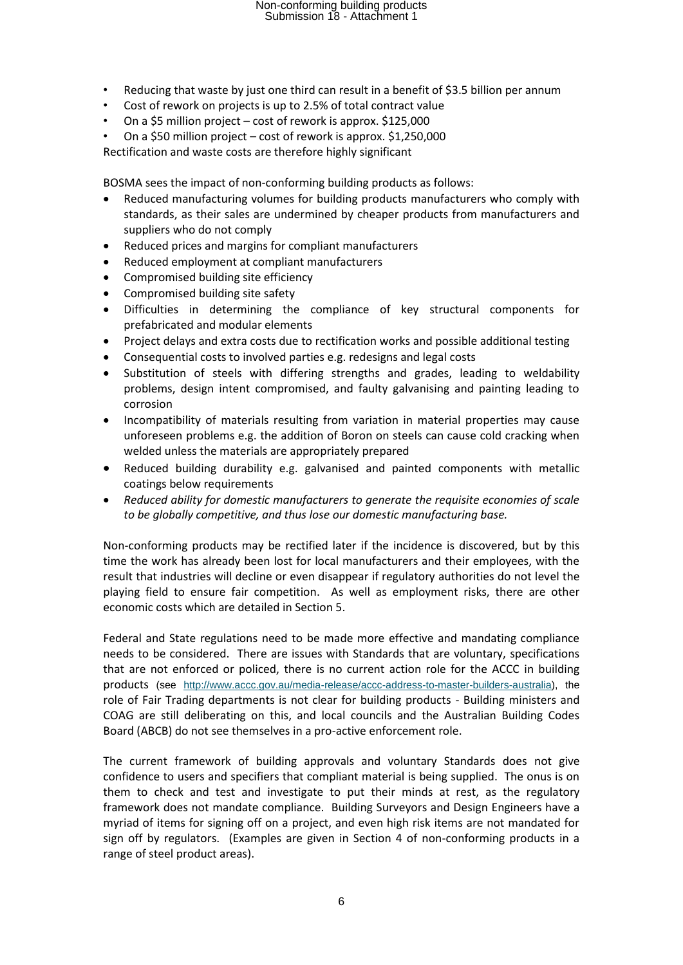- Reducing that waste by just one third can result in a benefit of \$3.5 billion per annum
- Cost of rework on projects is up to 2.5% of total contract value
- On a \$5 million project cost of rework is approx. \$125,000
- On a \$50 million project cost of rework is approx. \$1,250,000

Rectification and waste costs are therefore highly significant

BOSMA sees the impact of non-conforming building products as follows:

- Reduced manufacturing volumes for building products manufacturers who comply with standards, as their sales are undermined by cheaper products from manufacturers and suppliers who do not comply
- Reduced prices and margins for compliant manufacturers
- Reduced employment at compliant manufacturers
- Compromised building site efficiency
- Compromised building site safety
- Difficulties in determining the compliance of key structural components for prefabricated and modular elements
- Project delays and extra costs due to rectification works and possible additional testing
- Consequential costs to involved parties e.g. redesigns and legal costs
- Substitution of steels with differing strengths and grades, leading to weldability problems, design intent compromised, and faulty galvanising and painting leading to corrosion
- Incompatibility of materials resulting from variation in material properties may cause unforeseen problems e.g. the addition of Boron on steels can cause cold cracking when welded unless the materials are appropriately prepared
- Reduced building durability e.g. galvanised and painted components with metallic coatings below requirements
- *Reduced ability for domestic manufacturers to generate the requisite economies of scale to be globally competitive, and thus lose our domestic manufacturing base.*

Non-conforming products may be rectified later if the incidence is discovered, but by this time the work has already been lost for local manufacturers and their employees, with the result that industries will decline or even disappear if regulatory authorities do not level the playing field to ensure fair competition. As well as employment risks, there are other economic costs which are detailed in Section 5.

Federal and State regulations need to be made more effective and mandating compliance needs to be considered. There are issues with Standards that are voluntary, specifications that are not enforced or policed, there is no current action role for the ACCC in building products (see [http://www.accc.gov.au/media-release/accc-address-to-master-builders-australia\)](http://www.accc.gov.au/media-release/accc-address-to-master-builders-australia), the role of Fair Trading departments is not clear for building products - Building ministers and COAG are still deliberating on this, and local councils and the Australian Building Codes Board (ABCB) do not see themselves in a pro-active enforcement role.

The current framework of building approvals and voluntary Standards does not give confidence to users and specifiers that compliant material is being supplied. The onus is on them to check and test and investigate to put their minds at rest, as the regulatory framework does not mandate compliance. Building Surveyors and Design Engineers have a myriad of items for signing off on a project, and even high risk items are not mandated for sign off by regulators. (Examples are given in Section 4 of non-conforming products in a range of steel product areas).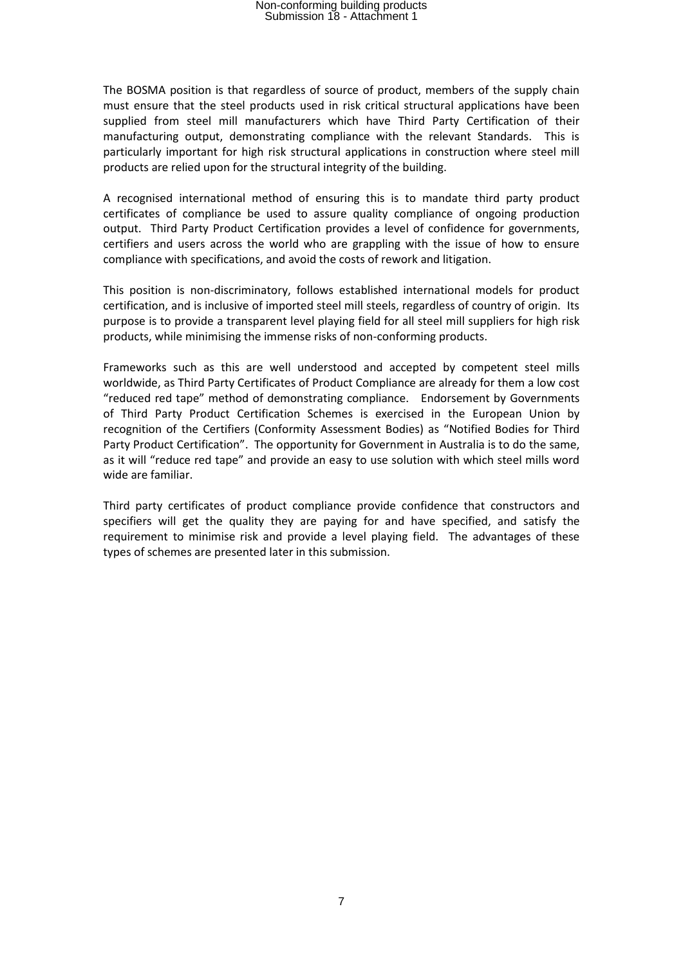The BOSMA position is that regardless of source of product, members of the supply chain must ensure that the steel products used in risk critical structural applications have been supplied from steel mill manufacturers which have Third Party Certification of their manufacturing output, demonstrating compliance with the relevant Standards. This is particularly important for high risk structural applications in construction where steel mill products are relied upon for the structural integrity of the building.

A recognised international method of ensuring this is to mandate third party product certificates of compliance be used to assure quality compliance of ongoing production output. Third Party Product Certification provides a level of confidence for governments, certifiers and users across the world who are grappling with the issue of how to ensure compliance with specifications, and avoid the costs of rework and litigation.

This position is non-discriminatory, follows established international models for product certification, and is inclusive of imported steel mill steels, regardless of country of origin. Its purpose is to provide a transparent level playing field for all steel mill suppliers for high risk products, while minimising the immense risks of non-conforming products.

Frameworks such as this are well understood and accepted by competent steel mills worldwide, as Third Party Certificates of Product Compliance are already for them a low cost "reduced red tape" method of demonstrating compliance. Endorsement by Governments of Third Party Product Certification Schemes is exercised in the European Union by recognition of the Certifiers (Conformity Assessment Bodies) as "Notified Bodies for Third Party Product Certification". The opportunity for Government in Australia is to do the same, as it will "reduce red tape" and provide an easy to use solution with which steel mills word wide are familiar.

Third party certificates of product compliance provide confidence that constructors and specifiers will get the quality they are paying for and have specified, and satisfy the requirement to minimise risk and provide a level playing field. The advantages of these types of schemes are presented later in this submission.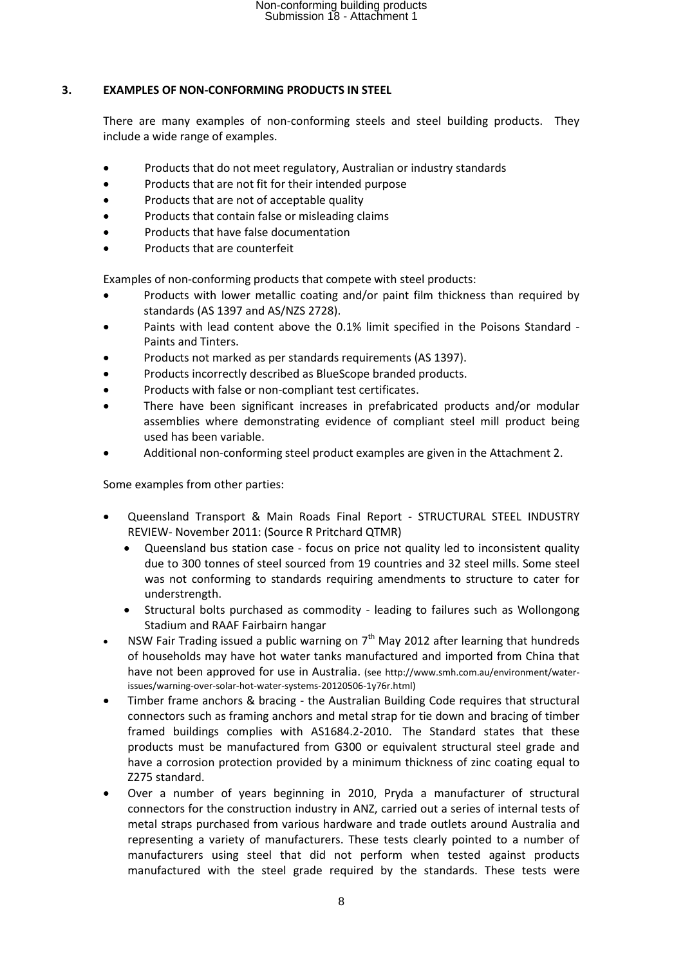### **3. EXAMPLES OF NON-CONFORMING PRODUCTS IN STEEL**

There are many examples of non-conforming steels and steel building products. They include a wide range of examples.

- Products that do not meet regulatory, Australian or industry standards
- Products that are not fit for their intended purpose
- Products that are not of acceptable quality
- Products that contain false or misleading claims
- Products that have false documentation
- Products that are counterfeit

Examples of non-conforming products that compete with steel products:

- Products with lower metallic coating and/or paint film thickness than required by standards (AS 1397 and AS/NZS 2728).
- Paints with lead content above the 0.1% limit specified in the Poisons Standard Paints and Tinters.
- Products not marked as per standards requirements (AS 1397).
- Products incorrectly described as BlueScope branded products.
- Products with false or non-compliant test certificates.
- There have been significant increases in prefabricated products and/or modular assemblies where demonstrating evidence of compliant steel mill product being used has been variable.
- Additional non-conforming steel product examples are given in the Attachment 2.

Some examples from other parties:

- Queensland Transport & Main Roads Final Report STRUCTURAL STEEL INDUSTRY REVIEW- November 2011: (Source R Pritchard QTMR)
	- Queensland bus station case focus on price not quality led to inconsistent quality due to 300 tonnes of steel sourced from 19 countries and 32 steel mills. Some steel was not conforming to standards requiring amendments to structure to cater for understrength.
	- Structural bolts purchased as commodity leading to failures such as Wollongong Stadium and RAAF Fairbairn hangar
- NSW Fair Trading issued a public warning on  $7<sup>th</sup>$  May 2012 after learning that hundreds of households may have hot water tanks manufactured and imported from China that have not been approved for use in Australia. (see http://www.smh.com.au/environment/waterissues/warning-over-solar-hot-water-systems-20120506-1y76r.html)
- Timber frame anchors & bracing the Australian Building Code requires that structural connectors such as framing anchors and metal strap for tie down and bracing of timber framed buildings complies with AS1684.2-2010. The Standard states that these products must be manufactured from G300 or equivalent structural steel grade and have a corrosion protection provided by a minimum thickness of zinc coating equal to Z275 standard.
- Over a number of years beginning in 2010, Pryda a manufacturer of structural connectors for the construction industry in ANZ, carried out a series of internal tests of metal straps purchased from various hardware and trade outlets around Australia and representing a variety of manufacturers. These tests clearly pointed to a number of manufacturers using steel that did not perform when tested against products manufactured with the steel grade required by the standards. These tests were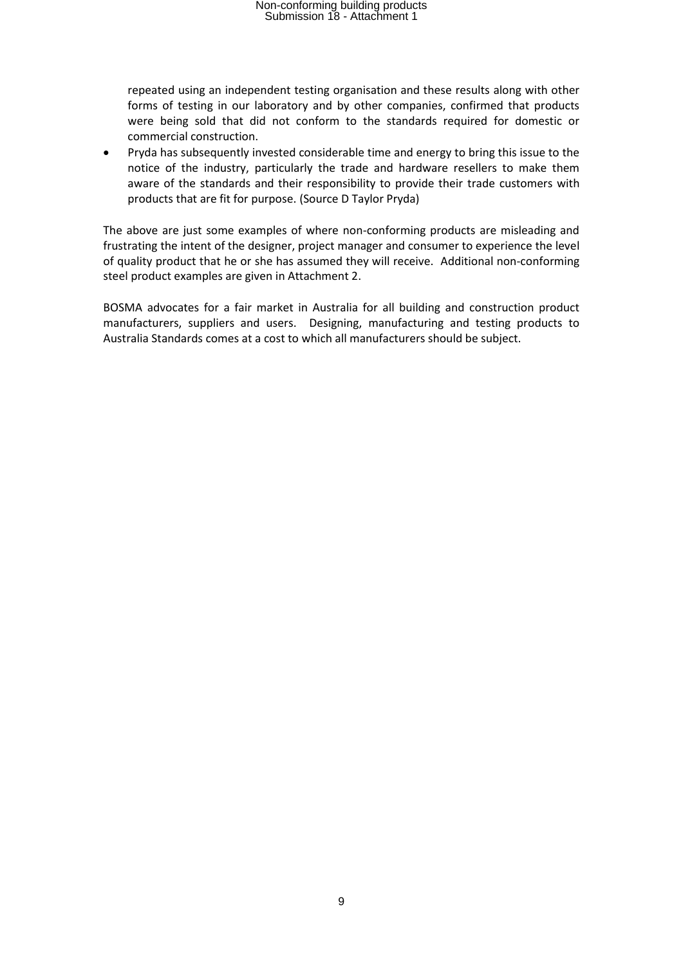repeated using an independent testing organisation and these results along with other forms of testing in our laboratory and by other companies, confirmed that products were being sold that did not conform to the standards required for domestic or commercial construction.

 Pryda has subsequently invested considerable time and energy to bring this issue to the notice of the industry, particularly the trade and hardware resellers to make them aware of the standards and their responsibility to provide their trade customers with products that are fit for purpose. (Source D Taylor Pryda)

The above are just some examples of where non-conforming products are misleading and frustrating the intent of the designer, project manager and consumer to experience the level of quality product that he or she has assumed they will receive. Additional non-conforming steel product examples are given in Attachment 2.

BOSMA advocates for a fair market in Australia for all building and construction product manufacturers, suppliers and users. Designing, manufacturing and testing products to Australia Standards comes at a cost to which all manufacturers should be subject.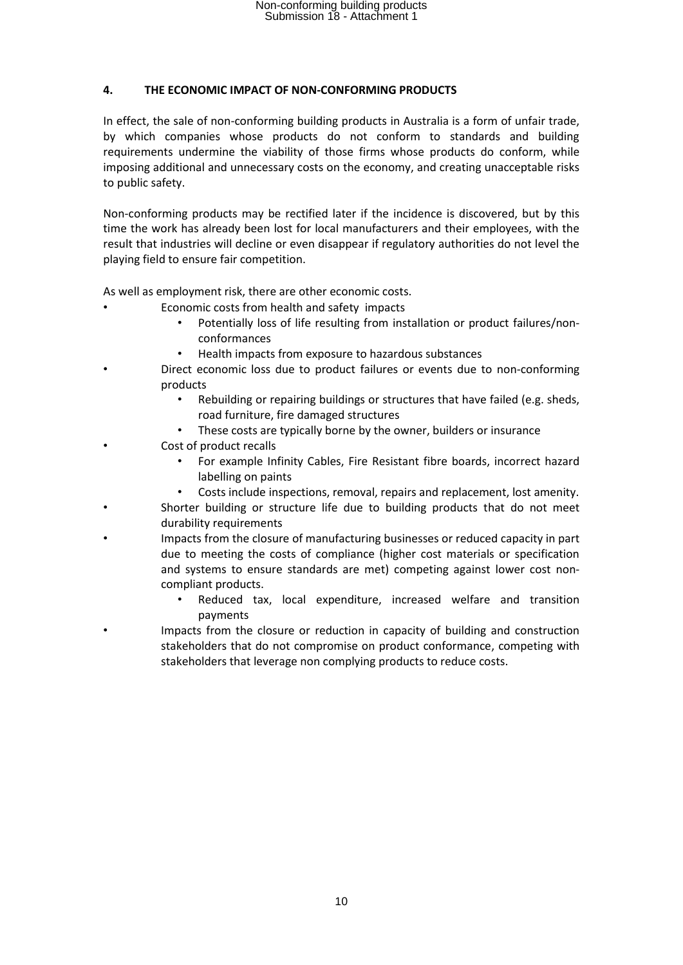### **4. THE ECONOMIC IMPACT OF NON-CONFORMING PRODUCTS**

In effect, the sale of non-conforming building products in Australia is a form of unfair trade, by which companies whose products do not conform to standards and building requirements undermine the viability of those firms whose products do conform, while imposing additional and unnecessary costs on the economy, and creating unacceptable risks to public safety.

Non-conforming products may be rectified later if the incidence is discovered, but by this time the work has already been lost for local manufacturers and their employees, with the result that industries will decline or even disappear if regulatory authorities do not level the playing field to ensure fair competition.

As well as employment risk, there are other economic costs.

- Economic costs from health and safety impacts
	- Potentially loss of life resulting from installation or product failures/nonconformances
	- Health impacts from exposure to hazardous substances
- Direct economic loss due to product failures or events due to non-conforming products
	- Rebuilding or repairing buildings or structures that have failed (e.g. sheds, road furniture, fire damaged structures
	- These costs are typically borne by the owner, builders or insurance
- Cost of product recalls
	- For example Infinity Cables, Fire Resistant fibre boards, incorrect hazard labelling on paints
	- Costs include inspections, removal, repairs and replacement, lost amenity.
- Shorter building or structure life due to building products that do not meet durability requirements
- Impacts from the closure of manufacturing businesses or reduced capacity in part due to meeting the costs of compliance (higher cost materials or specification and systems to ensure standards are met) competing against lower cost noncompliant products.
	- Reduced tax, local expenditure, increased welfare and transition payments
- Impacts from the closure or reduction in capacity of building and construction stakeholders that do not compromise on product conformance, competing with stakeholders that leverage non complying products to reduce costs.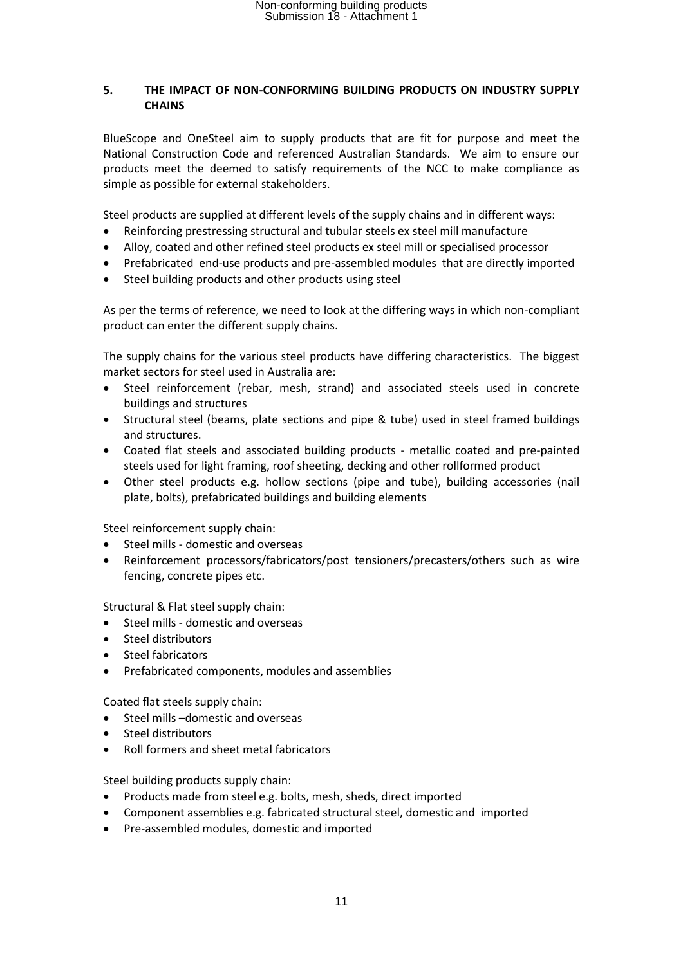### **5. THE IMPACT OF NON-CONFORMING BUILDING PRODUCTS ON INDUSTRY SUPPLY CHAINS**

BlueScope and OneSteel aim to supply products that are fit for purpose and meet the National Construction Code and referenced Australian Standards. We aim to ensure our products meet the deemed to satisfy requirements of the NCC to make compliance as simple as possible for external stakeholders.

Steel products are supplied at different levels of the supply chains and in different ways:

- Reinforcing prestressing structural and tubular steels ex steel mill manufacture
- Alloy, coated and other refined steel products ex steel mill or specialised processor
- Prefabricated end-use products and pre-assembled modules that are directly imported
- Steel building products and other products using steel

As per the terms of reference, we need to look at the differing ways in which non-compliant product can enter the different supply chains.

The supply chains for the various steel products have differing characteristics. The biggest market sectors for steel used in Australia are:

- Steel reinforcement (rebar, mesh, strand) and associated steels used in concrete buildings and structures
- Structural steel (beams, plate sections and pipe & tube) used in steel framed buildings and structures.
- Coated flat steels and associated building products metallic coated and pre-painted steels used for light framing, roof sheeting, decking and other rollformed product
- Other steel products e.g. hollow sections (pipe and tube), building accessories (nail plate, bolts), prefabricated buildings and building elements

Steel reinforcement supply chain:

- Steel mills domestic and overseas
- Reinforcement processors/fabricators/post tensioners/precasters/others such as wire fencing, concrete pipes etc.

Structural & Flat steel supply chain:

- Steel mills domestic and overseas
- Steel distributors
- Steel fabricators
- Prefabricated components, modules and assemblies

Coated flat steels supply chain:

- Steel mills –domestic and overseas
- Steel distributors
- Roll formers and sheet metal fabricators

Steel building products supply chain:

- Products made from steel e.g. bolts, mesh, sheds, direct imported
- Component assemblies e.g. fabricated structural steel, domestic and imported
- Pre-assembled modules, domestic and imported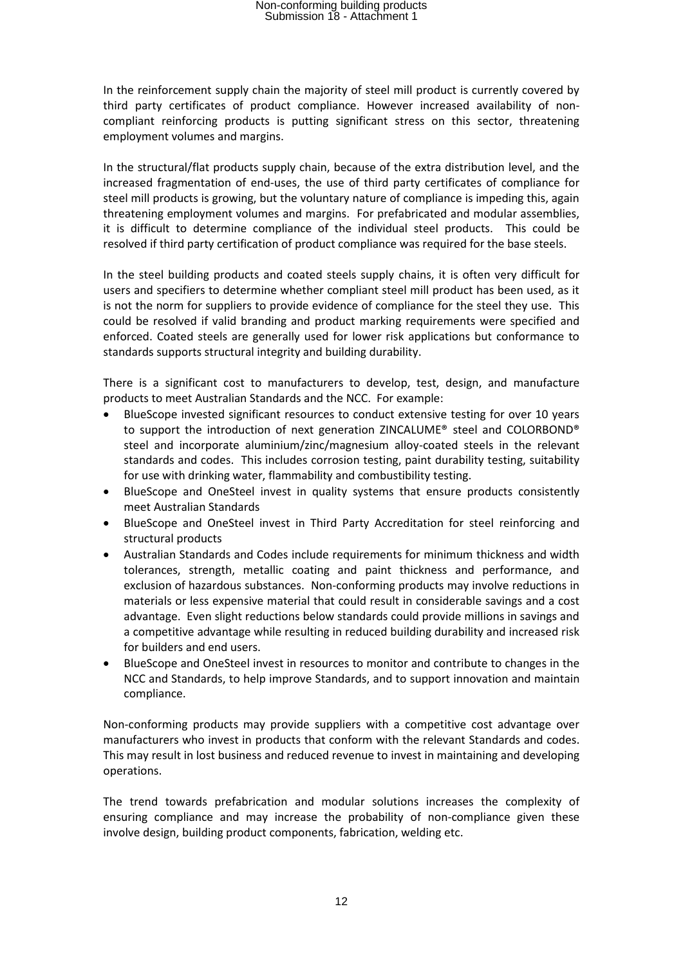In the reinforcement supply chain the majority of steel mill product is currently covered by third party certificates of product compliance. However increased availability of noncompliant reinforcing products is putting significant stress on this sector, threatening employment volumes and margins.

In the structural/flat products supply chain, because of the extra distribution level, and the increased fragmentation of end-uses, the use of third party certificates of compliance for steel mill products is growing, but the voluntary nature of compliance is impeding this, again threatening employment volumes and margins. For prefabricated and modular assemblies, it is difficult to determine compliance of the individual steel products. This could be resolved if third party certification of product compliance was required for the base steels.

In the steel building products and coated steels supply chains, it is often very difficult for users and specifiers to determine whether compliant steel mill product has been used, as it is not the norm for suppliers to provide evidence of compliance for the steel they use. This could be resolved if valid branding and product marking requirements were specified and enforced. Coated steels are generally used for lower risk applications but conformance to standards supports structural integrity and building durability.

There is a significant cost to manufacturers to develop, test, design, and manufacture products to meet Australian Standards and the NCC. For example:

- BlueScope invested significant resources to conduct extensive testing for over 10 years to support the introduction of next generation ZINCALUME® steel and COLORBOND® steel and incorporate aluminium/zinc/magnesium alloy-coated steels in the relevant standards and codes. This includes corrosion testing, paint durability testing, suitability for use with drinking water, flammability and combustibility testing.
- BlueScope and OneSteel invest in quality systems that ensure products consistently meet Australian Standards
- BlueScope and OneSteel invest in Third Party Accreditation for steel reinforcing and structural products
- Australian Standards and Codes include requirements for minimum thickness and width tolerances, strength, metallic coating and paint thickness and performance, and exclusion of hazardous substances. Non-conforming products may involve reductions in materials or less expensive material that could result in considerable savings and a cost advantage. Even slight reductions below standards could provide millions in savings and a competitive advantage while resulting in reduced building durability and increased risk for builders and end users.
- BlueScope and OneSteel invest in resources to monitor and contribute to changes in the NCC and Standards, to help improve Standards, and to support innovation and maintain compliance.

Non-conforming products may provide suppliers with a competitive cost advantage over manufacturers who invest in products that conform with the relevant Standards and codes. This may result in lost business and reduced revenue to invest in maintaining and developing operations.

The trend towards prefabrication and modular solutions increases the complexity of ensuring compliance and may increase the probability of non-compliance given these involve design, building product components, fabrication, welding etc.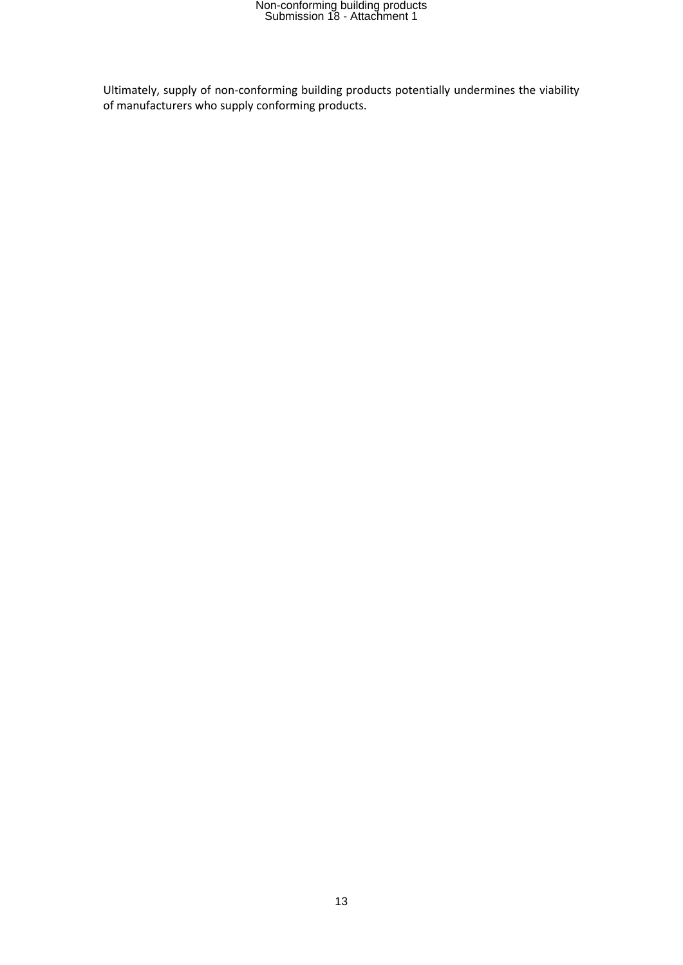Ultimately, supply of non-conforming building products potentially undermines the viability of manufacturers who supply conforming products.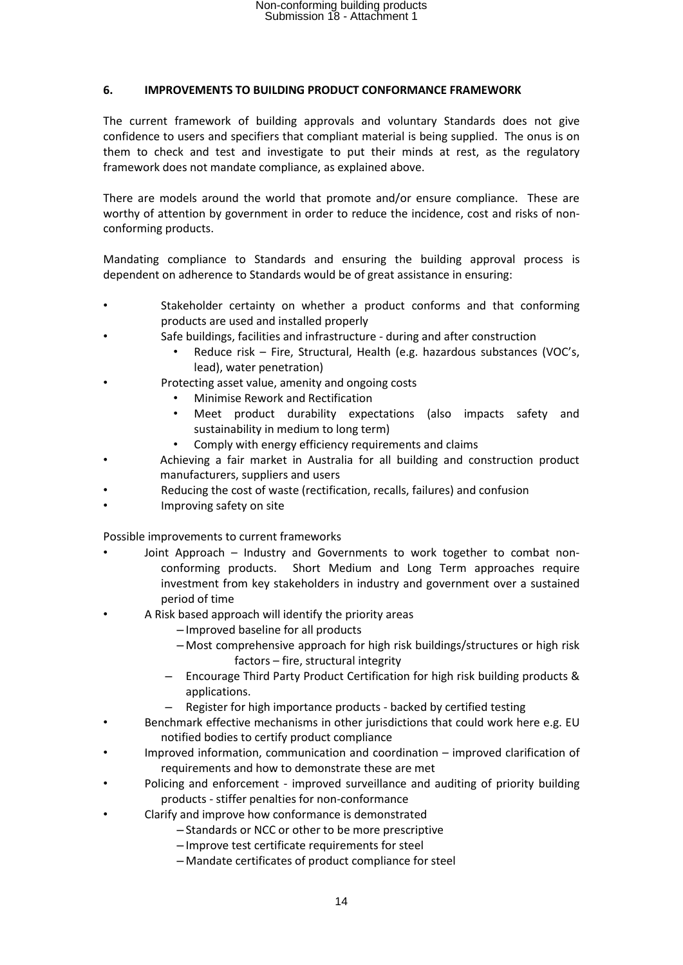#### **6. IMPROVEMENTS TO BUILDING PRODUCT CONFORMANCE FRAMEWORK**

The current framework of building approvals and voluntary Standards does not give confidence to users and specifiers that compliant material is being supplied. The onus is on them to check and test and investigate to put their minds at rest, as the regulatory framework does not mandate compliance, as explained above.

There are models around the world that promote and/or ensure compliance. These are worthy of attention by government in order to reduce the incidence, cost and risks of nonconforming products.

Mandating compliance to Standards and ensuring the building approval process is dependent on adherence to Standards would be of great assistance in ensuring:

- Stakeholder certainty on whether a product conforms and that conforming products are used and installed properly
- Safe buildings, facilities and infrastructure during and after construction
	- Reduce risk Fire, Structural, Health (e.g. hazardous substances (VOC's, lead), water penetration)
- Protecting asset value, amenity and ongoing costs
	- Minimise Rework and Rectification
	- Meet product durability expectations (also impacts safety and sustainability in medium to long term)
	- Comply with energy efficiency requirements and claims
- Achieving a fair market in Australia for all building and construction product manufacturers, suppliers and users
- Reducing the cost of waste (rectification, recalls, failures) and confusion
- Improving safety on site

Possible improvements to current frameworks

- Joint Approach Industry and Governments to work together to combat nonconforming products. Short Medium and Long Term approaches require investment from key stakeholders in industry and government over a sustained period of time
- A Risk based approach will identify the priority areas
	- Improved baseline for all products
	- Most comprehensive approach for high risk buildings/structures or high risk factors – fire, structural integrity
	- Encourage Third Party Product Certification for high risk building products & applications.
	- Register for high importance products backed by certified testing
- Benchmark effective mechanisms in other jurisdictions that could work here e.g. EU notified bodies to certify product compliance
- Improved information, communication and coordination improved clarification of requirements and how to demonstrate these are met
- Policing and enforcement improved surveillance and auditing of priority building products - stiffer penalties for non-conformance
- Clarify and improve how conformance is demonstrated
	- Standards or NCC or other to be more prescriptive
	- Improve test certificate requirements for steel
	- Mandate certificates of product compliance for steel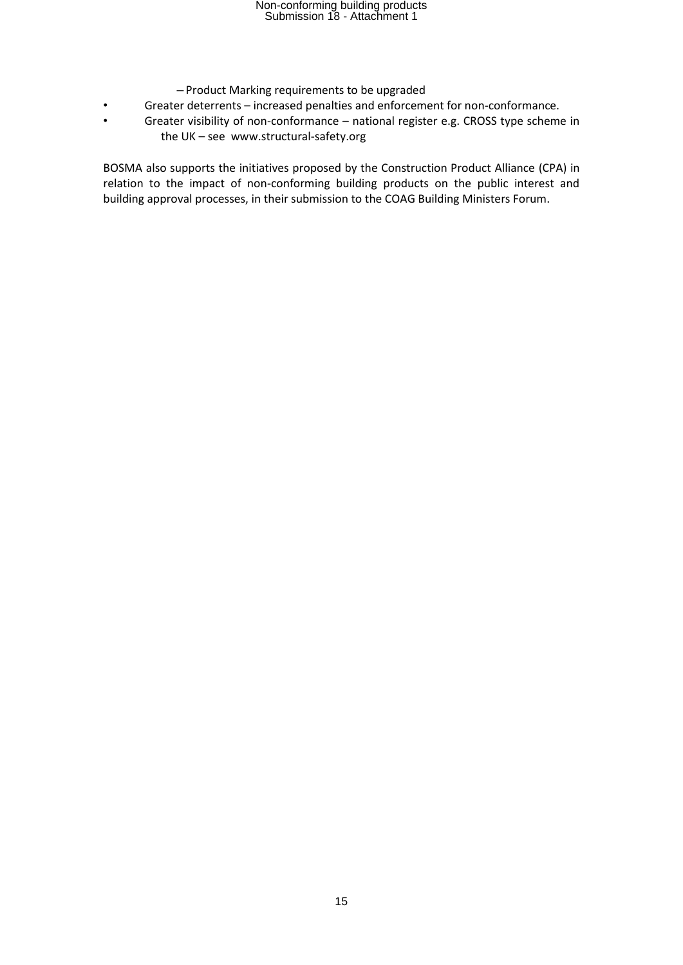- Product Marking requirements to be upgraded
- Greater deterrents increased penalties and enforcement for non-conformance.
- Greater visibility of non-conformance national register e.g. CROSS type scheme in the UK – see www.structural-safety.org

BOSMA also supports the initiatives proposed by the Construction Product Alliance (CPA) in relation to the impact of non-conforming building products on the public interest and building approval processes, in their submission to the COAG Building Ministers Forum.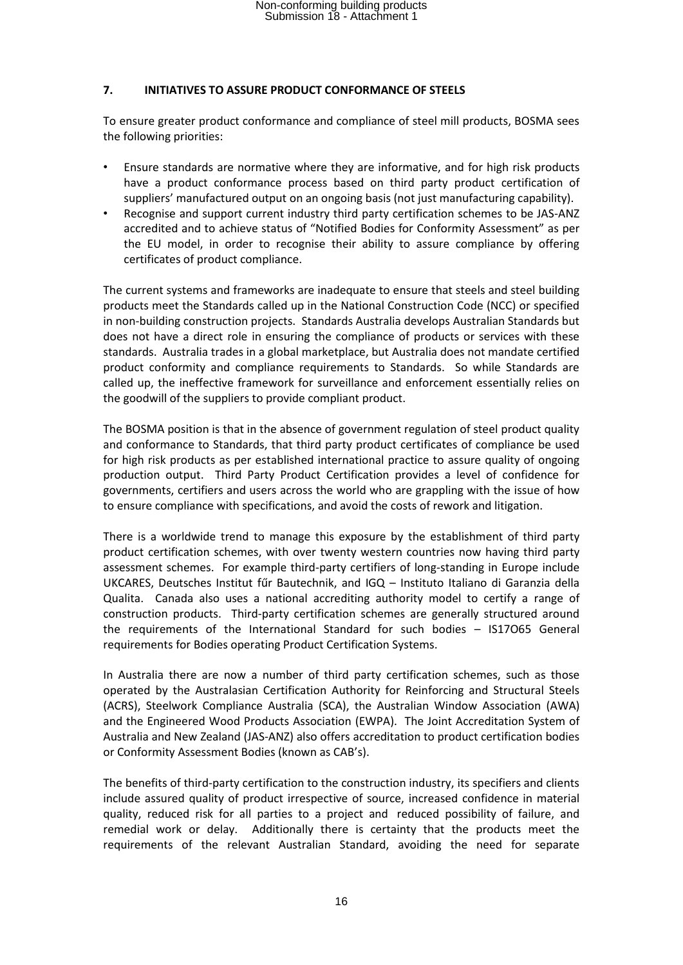### **7. INITIATIVES TO ASSURE PRODUCT CONFORMANCE OF STEELS**

To ensure greater product conformance and compliance of steel mill products, BOSMA sees the following priorities:

- Ensure standards are normative where they are informative, and for high risk products have a product conformance process based on third party product certification of suppliers' manufactured output on an ongoing basis (not just manufacturing capability).
- Recognise and support current industry third party certification schemes to be JAS-ANZ accredited and to achieve status of "Notified Bodies for Conformity Assessment" as per the EU model, in order to recognise their ability to assure compliance by offering certificates of product compliance.

The current systems and frameworks are inadequate to ensure that steels and steel building products meet the Standards called up in the National Construction Code (NCC) or specified in non-building construction projects. Standards Australia develops Australian Standards but does not have a direct role in ensuring the compliance of products or services with these standards. Australia trades in a global marketplace, but Australia does not mandate certified product conformity and compliance requirements to Standards. So while Standards are called up, the ineffective framework for surveillance and enforcement essentially relies on the goodwill of the suppliers to provide compliant product.

The BOSMA position is that in the absence of government regulation of steel product quality and conformance to Standards, that third party product certificates of compliance be used for high risk products as per established international practice to assure quality of ongoing production output. Third Party Product Certification provides a level of confidence for governments, certifiers and users across the world who are grappling with the issue of how to ensure compliance with specifications, and avoid the costs of rework and litigation.

There is a worldwide trend to manage this exposure by the establishment of third party product certification schemes, with over twenty western countries now having third party assessment schemes. For example third-party certifiers of long-standing in Europe include UKCARES, Deutsches Institut fűr Bautechnik, and IGQ – Instituto Italiano di Garanzia della Qualita. Canada also uses a national accrediting authority model to certify a range of construction products. Third-party certification schemes are generally structured around the requirements of the International Standard for such bodies – IS17O65 General requirements for Bodies operating Product Certification Systems.

In Australia there are now a number of third party certification schemes, such as those operated by the Australasian Certification Authority for Reinforcing and Structural Steels (ACRS), Steelwork Compliance Australia (SCA), the Australian Window Association (AWA) and the Engineered Wood Products Association (EWPA). The Joint Accreditation System of Australia and New Zealand (JAS-ANZ) also offers accreditation to product certification bodies or Conformity Assessment Bodies (known as CAB's).

The benefits of third-party certification to the construction industry, its specifiers and clients include assured quality of product irrespective of source, increased confidence in material quality, reduced risk for all parties to a project and reduced possibility of failure, and remedial work or delay. Additionally there is certainty that the products meet the requirements of the relevant Australian Standard, avoiding the need for separate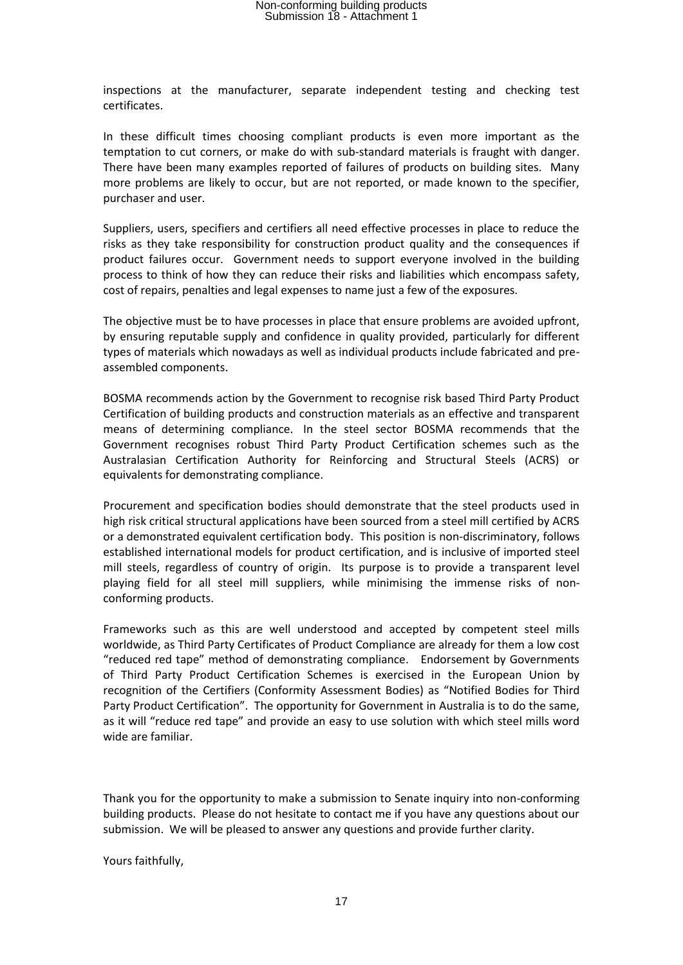inspections at the manufacturer, separate independent testing and checking test certificates.

In these difficult times choosing compliant products is even more important as the temptation to cut corners, or make do with sub-standard materials is fraught with danger. There have been many examples reported of failures of products on building sites. Many more problems are likely to occur, but are not reported, or made known to the specifier, purchaser and user.

Suppliers, users, specifiers and certifiers all need effective processes in place to reduce the risks as they take responsibility for construction product quality and the consequences if product failures occur. Government needs to support everyone involved in the building process to think of how they can reduce their risks and liabilities which encompass safety, cost of repairs, penalties and legal expenses to name just a few of the exposures.

The objective must be to have processes in place that ensure problems are avoided upfront, by ensuring reputable supply and confidence in quality provided, particularly for different types of materials which nowadays as well as individual products include fabricated and preassembled components.

BOSMA recommends action by the Government to recognise risk based Third Party Product Certification of building products and construction materials as an effective and transparent means of determining compliance. In the steel sector BOSMA recommends that the Government recognises robust Third Party Product Certification schemes such as the Australasian Certification Authority for Reinforcing and Structural Steels (ACRS) or equivalents for demonstrating compliance.

Procurement and specification bodies should demonstrate that the steel products used in high risk critical structural applications have been sourced from a steel mill certified by ACRS or a demonstrated equivalent certification body. This position is non-discriminatory, follows established international models for product certification, and is inclusive of imported steel mill steels, regardless of country of origin. Its purpose is to provide a transparent level playing field for all steel mill suppliers, while minimising the immense risks of nonconforming products.

Frameworks such as this are well understood and accepted by competent steel mills worldwide, as Third Party Certificates of Product Compliance are already for them a low cost "reduced red tape" method of demonstrating compliance. Endorsement by Governments of Third Party Product Certification Schemes is exercised in the European Union by recognition of the Certifiers (Conformity Assessment Bodies) as "Notified Bodies for Third Party Product Certification". The opportunity for Government in Australia is to do the same, as it will "reduce red tape" and provide an easy to use solution with which steel mills word wide are familiar.

Thank you for the opportunity to make a submission to Senate inquiry into non-conforming building products. Please do not hesitate to contact me if you have any questions about our submission. We will be pleased to answer any questions and provide further clarity.

Yours faithfully,